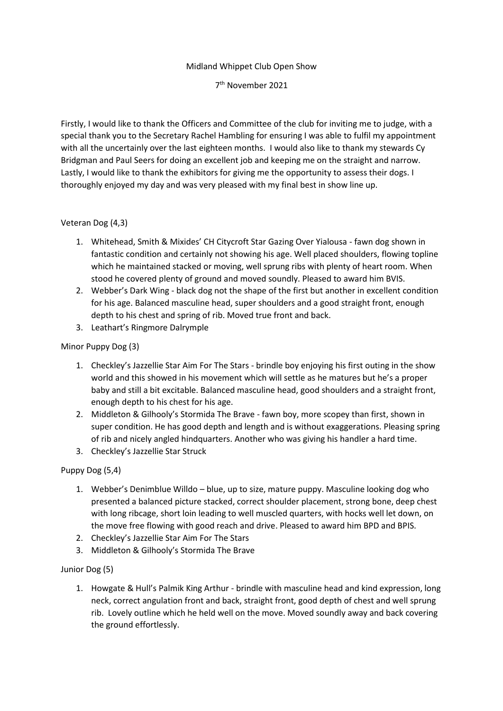#### Midland Whippet Club Open Show

7 th November 2021

Firstly, I would like to thank the Officers and Committee of the club for inviting me to judge, with a special thank you to the Secretary Rachel Hambling for ensuring I was able to fulfil my appointment with all the uncertainly over the last eighteen months. I would also like to thank my stewards Cy Bridgman and Paul Seers for doing an excellent job and keeping me on the straight and narrow. Lastly, I would like to thank the exhibitors for giving me the opportunity to assess their dogs. I thoroughly enjoyed my day and was very pleased with my final best in show line up.

## Veteran Dog (4,3)

- 1. Whitehead, Smith & Mixides' CH Citycroft Star Gazing Over Yialousa fawn dog shown in fantastic condition and certainly not showing his age. Well placed shoulders, flowing topline which he maintained stacked or moving, well sprung ribs with plenty of heart room. When stood he covered plenty of ground and moved soundly. Pleased to award him BVIS.
- 2. Webber's Dark Wing black dog not the shape of the first but another in excellent condition for his age. Balanced masculine head, super shoulders and a good straight front, enough depth to his chest and spring of rib. Moved true front and back.
- 3. Leathart's Ringmore Dalrymple

### Minor Puppy Dog (3)

- 1. Checkley's Jazzellie Star Aim For The Stars brindle boy enjoying his first outing in the show world and this showed in his movement which will settle as he matures but he's a proper baby and still a bit excitable. Balanced masculine head, good shoulders and a straight front, enough depth to his chest for his age.
- 2. Middleton & Gilhooly's Stormida The Brave fawn boy, more scopey than first, shown in super condition. He has good depth and length and is without exaggerations. Pleasing spring of rib and nicely angled hindquarters. Another who was giving his handler a hard time.
- 3. Checkley's Jazzellie Star Struck

## Puppy Dog (5,4)

- 1. Webber's Denimblue Willdo blue, up to size, mature puppy. Masculine looking dog who presented a balanced picture stacked, correct shoulder placement, strong bone, deep chest with long ribcage, short loin leading to well muscled quarters, with hocks well let down, on the move free flowing with good reach and drive. Pleased to award him BPD and BPIS.
- 2. Checkley's Jazzellie Star Aim For The Stars
- 3. Middleton & Gilhooly's Stormida The Brave

## Junior Dog (5)

1. Howgate & Hull's Palmik King Arthur - brindle with masculine head and kind expression, long neck, correct angulation front and back, straight front, good depth of chest and well sprung rib. Lovely outline which he held well on the move. Moved soundly away and back covering the ground effortlessly.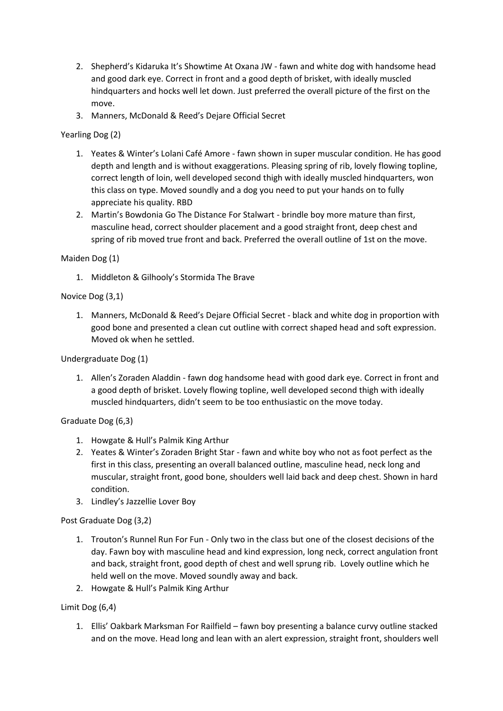- 2. Shepherd's Kidaruka It's Showtime At Oxana JW fawn and white dog with handsome head and good dark eye. Correct in front and a good depth of brisket, with ideally muscled hindquarters and hocks well let down. Just preferred the overall picture of the first on the move.
- 3. Manners, McDonald & Reed's Dejare Official Secret

## Yearling Dog (2)

- 1. Yeates & Winter's Lolani Café Amore fawn shown in super muscular condition. He has good depth and length and is without exaggerations. Pleasing spring of rib, lovely flowing topline, correct length of loin, well developed second thigh with ideally muscled hindquarters, won this class on type. Moved soundly and a dog you need to put your hands on to fully appreciate his quality. RBD
- 2. Martin's Bowdonia Go The Distance For Stalwart brindle boy more mature than first, masculine head, correct shoulder placement and a good straight front, deep chest and spring of rib moved true front and back. Preferred the overall outline of 1st on the move.

### Maiden Dog (1)

1. Middleton & Gilhooly's Stormida The Brave

### Novice Dog (3,1)

1. Manners, McDonald & Reed's Dejare Official Secret - black and white dog in proportion with good bone and presented a clean cut outline with correct shaped head and soft expression. Moved ok when he settled.

Undergraduate Dog (1)

1. Allen's Zoraden Aladdin - fawn dog handsome head with good dark eye. Correct in front and a good depth of brisket. Lovely flowing topline, well developed second thigh with ideally muscled hindquarters, didn't seem to be too enthusiastic on the move today.

## Graduate Dog (6,3)

- 1. Howgate & Hull's Palmik King Arthur
- 2. Yeates & Winter's Zoraden Bright Star fawn and white boy who not as foot perfect as the first in this class, presenting an overall balanced outline, masculine head, neck long and muscular, straight front, good bone, shoulders well laid back and deep chest. Shown in hard condition.
- 3. Lindley's Jazzellie Lover Boy

Post Graduate Dog (3,2)

- 1. Trouton's Runnel Run For Fun Only two in the class but one of the closest decisions of the day. Fawn boy with masculine head and kind expression, long neck, correct angulation front and back, straight front, good depth of chest and well sprung rib. Lovely outline which he held well on the move. Moved soundly away and back.
- 2. Howgate & Hull's Palmik King Arthur

#### Limit Dog (6,4)

1. Ellis' Oakbark Marksman For Railfield – fawn boy presenting a balance curvy outline stacked and on the move. Head long and lean with an alert expression, straight front, shoulders well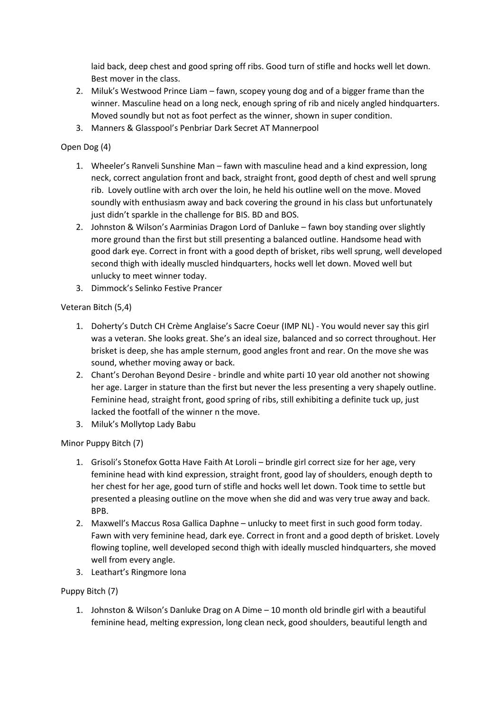laid back, deep chest and good spring off ribs. Good turn of stifle and hocks well let down. Best mover in the class.

- 2. Miluk's Westwood Prince Liam fawn, scopey young dog and of a bigger frame than the winner. Masculine head on a long neck, enough spring of rib and nicely angled hindquarters. Moved soundly but not as foot perfect as the winner, shown in super condition.
- 3. Manners & Glasspool's Penbriar Dark Secret AT Mannerpool

# Open Dog (4)

- 1. Wheeler's Ranveli Sunshine Man fawn with masculine head and a kind expression, long neck, correct angulation front and back, straight front, good depth of chest and well sprung rib. Lovely outline with arch over the loin, he held his outline well on the move. Moved soundly with enthusiasm away and back covering the ground in his class but unfortunately just didn't sparkle in the challenge for BIS. BD and BOS.
- 2. Johnston & Wilson's Aarminias Dragon Lord of Danluke fawn boy standing over slightly more ground than the first but still presenting a balanced outline. Handsome head with good dark eye. Correct in front with a good depth of brisket, ribs well sprung, well developed second thigh with ideally muscled hindquarters, hocks well let down. Moved well but unlucky to meet winner today.
- 3. Dimmock's Selinko Festive Prancer

## Veteran Bitch (5,4)

- 1. Doherty's Dutch CH Crème Anglaise's Sacre Coeur (IMP NL) You would never say this girl was a veteran. She looks great. She's an ideal size, balanced and so correct throughout. Her brisket is deep, she has ample sternum, good angles front and rear. On the move she was sound, whether moving away or back.
- 2. Chant's Derohan Beyond Desire brindle and white parti 10 year old another not showing her age. Larger in stature than the first but never the less presenting a very shapely outline. Feminine head, straight front, good spring of ribs, still exhibiting a definite tuck up, just lacked the footfall of the winner n the move.
- 3. Miluk's Mollytop Lady Babu

## Minor Puppy Bitch (7)

- 1. Grisoli's Stonefox Gotta Have Faith At Loroli brindle girl correct size for her age, very feminine head with kind expression, straight front, good lay of shoulders, enough depth to her chest for her age, good turn of stifle and hocks well let down. Took time to settle but presented a pleasing outline on the move when she did and was very true away and back. BPB.
- 2. Maxwell's Maccus Rosa Gallica Daphne unlucky to meet first in such good form today. Fawn with very feminine head, dark eye. Correct in front and a good depth of brisket. Lovely flowing topline, well developed second thigh with ideally muscled hindquarters, she moved well from every angle.
- 3. Leathart's Ringmore Iona

## Puppy Bitch (7)

1. Johnston & Wilson's Danluke Drag on A Dime – 10 month old brindle girl with a beautiful feminine head, melting expression, long clean neck, good shoulders, beautiful length and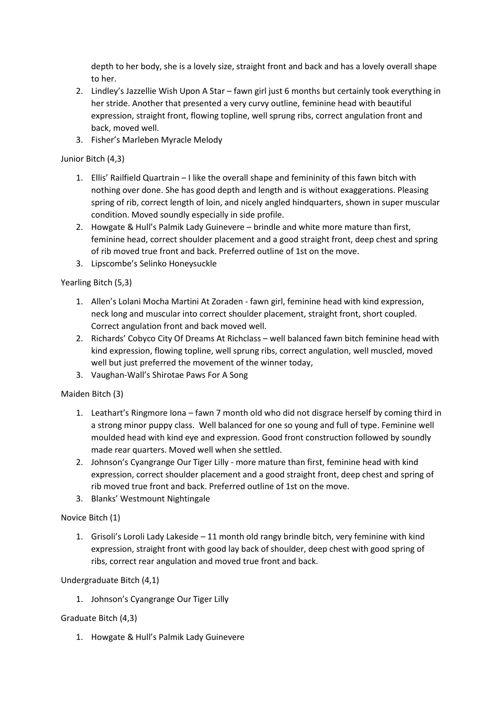depth to her body, she is a lovely size, straight front and back and has a lovely overall shape to her.

- 2. Lindley's Jazzellie Wish Upon A Star fawn girl just 6 months but certainly took everything in her stride. Another that presented a very curvy outline, feminine head with beautiful expression, straight front, flowing topline, well sprung ribs, correct angulation front and back, moved well.
- 3. Fisher's Marleben Myracle Melody

# Junior Bitch (4,3)

- 1. Ellis' Railfield Quartrain I like the overall shape and femininity of this fawn bitch with nothing over done. She has good depth and length and is without exaggerations. Pleasing spring of rib, correct length of loin, and nicely angled hindquarters, shown in super muscular condition. Moved soundly especially in side profile.
- 2. Howgate & Hull's Palmik Lady Guinevere brindle and white more mature than first, feminine head, correct shoulder placement and a good straight front, deep chest and spring of rib moved true front and back. Preferred outline of 1st on the move.
- 3. Lipscombe's Selinko Honeysuckle

Yearling Bitch (5,3)

- 1. Allen's Lolani Mocha Martini At Zoraden fawn girl, feminine head with kind expression, neck long and muscular into correct shoulder placement, straight front, short coupled. Correct angulation front and back moved well.
- 2. Richards' Cobyco City Of Dreams At Richclass well balanced fawn bitch feminine head with kind expression, flowing topline, well sprung ribs, correct angulation, well muscled, moved well but just preferred the movement of the winner today,
- 3. Vaughan-Wall's Shirotae Paws For A Song

## Maiden Bitch (3)

- 1. Leathart's Ringmore Iona fawn 7 month old who did not disgrace herself by coming third in a strong minor puppy class. Well balanced for one so young and full of type. Feminine well moulded head with kind eye and expression. Good front construction followed by soundly made rear quarters. Moved well when she settled.
- 2. Johnson's Cyangrange Our Tiger Lilly more mature than first, feminine head with kind expression, correct shoulder placement and a good straight front, deep chest and spring of rib moved true front and back. Preferred outline of 1st on the move.
- 3. Blanks' Westmount Nightingale

## Novice Bitch (1)

1. Grisoli's Loroli Lady Lakeside – 11 month old rangy brindle bitch, very feminine with kind expression, straight front with good lay back of shoulder, deep chest with good spring of ribs, correct rear angulation and moved true front and back.

## Undergraduate Bitch (4,1)

1. Johnson's Cyangrange Our Tiger Lilly

## Graduate Bitch (4,3)

1. Howgate & Hull's Palmik Lady Guinevere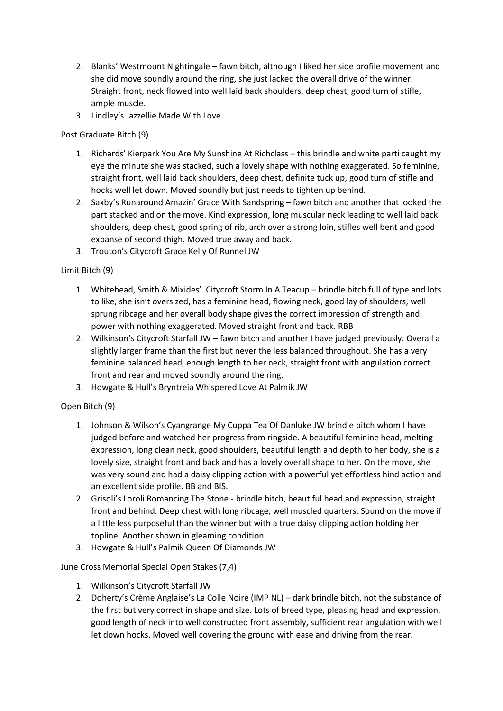- 2. Blanks' Westmount Nightingale fawn bitch, although I liked her side profile movement and she did move soundly around the ring, she just lacked the overall drive of the winner. Straight front, neck flowed into well laid back shoulders, deep chest, good turn of stifle, ample muscle.
- 3. Lindley's Jazzellie Made With Love

Post Graduate Bitch (9)

- 1. Richards' Kierpark You Are My Sunshine At Richclass this brindle and white parti caught my eye the minute she was stacked, such a lovely shape with nothing exaggerated. So feminine, straight front, well laid back shoulders, deep chest, definite tuck up, good turn of stifle and hocks well let down. Moved soundly but just needs to tighten up behind.
- 2. Saxby's Runaround Amazin' Grace With Sandspring fawn bitch and another that looked the part stacked and on the move. Kind expression, long muscular neck leading to well laid back shoulders, deep chest, good spring of rib, arch over a strong loin, stifles well bent and good expanse of second thigh. Moved true away and back.
- 3. Trouton's Citycroft Grace Kelly Of Runnel JW

Limit Bitch (9)

- 1. Whitehead, Smith & Mixides' Citycroft Storm In A Teacup brindle bitch full of type and lots to like, she isn't oversized, has a feminine head, flowing neck, good lay of shoulders, well sprung ribcage and her overall body shape gives the correct impression of strength and power with nothing exaggerated. Moved straight front and back. RBB
- 2. Wilkinson's Citycroft Starfall JW fawn bitch and another I have judged previously. Overall a slightly larger frame than the first but never the less balanced throughout. She has a very feminine balanced head, enough length to her neck, straight front with angulation correct front and rear and moved soundly around the ring.
- 3. Howgate & Hull's Bryntreia Whispered Love At Palmik JW

Open Bitch (9)

- 1. Johnson & Wilson's Cyangrange My Cuppa Tea Of Danluke JW brindle bitch whom I have judged before and watched her progress from ringside. A beautiful feminine head, melting expression, long clean neck, good shoulders, beautiful length and depth to her body, she is a lovely size, straight front and back and has a lovely overall shape to her. On the move, she was very sound and had a daisy clipping action with a powerful yet effortless hind action and an excellent side profile. BB and BIS.
- 2. Grisoli's Loroli Romancing The Stone brindle bitch, beautiful head and expression, straight front and behind. Deep chest with long ribcage, well muscled quarters. Sound on the move if a little less purposeful than the winner but with a true daisy clipping action holding her topline. Another shown in gleaming condition.
- 3. Howgate & Hull's Palmik Queen Of Diamonds JW

June Cross Memorial Special Open Stakes (7,4)

- 1. Wilkinson's Citycroft Starfall JW
- 2. Doherty's Crème Anglaise's La Colle Noire (IMP NL) dark brindle bitch, not the substance of the first but very correct in shape and size. Lots of breed type, pleasing head and expression, good length of neck into well constructed front assembly, sufficient rear angulation with well let down hocks. Moved well covering the ground with ease and driving from the rear.